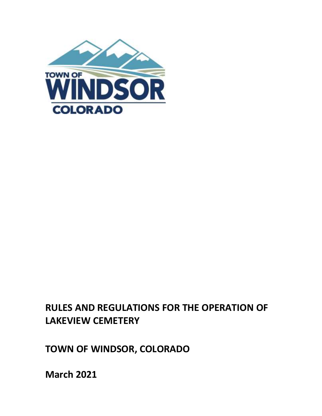

# **RULES AND REGULATIONS FOR THE OPERATION OF LAKEVIEW CEMETERY**

**TOWN OF WINDSOR, COLORADO** 

**March 2021**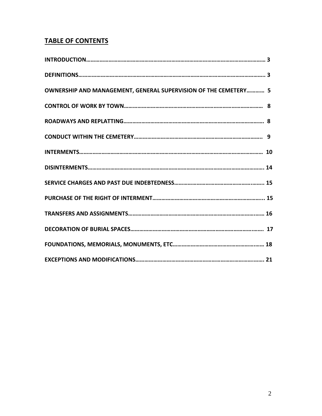# **TABLE OF CONTENTS**

| OWNERSHIP AND MANAGEMENT, GENERAL SUPERVISION OF THE CEMETERY 5 |  |
|-----------------------------------------------------------------|--|
|                                                                 |  |
|                                                                 |  |
|                                                                 |  |
|                                                                 |  |
|                                                                 |  |
|                                                                 |  |
|                                                                 |  |
|                                                                 |  |
|                                                                 |  |
|                                                                 |  |
|                                                                 |  |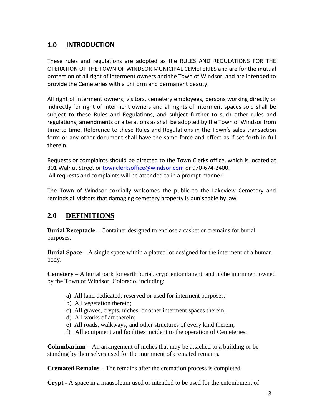# **1.0 INTRODUCTION**

These rules and regulations are adopted as the RULES AND REGULATIONS FOR THE OPERATION OF THE TOWN OF WINDSOR MUNICIPAL CEMETERIES and are for the mutual protection of all right of interment owners and the Town of Windsor, and are intended to provide the Cemeteries with a uniform and permanent beauty.

All right of interment owners, visitors, cemetery employees, persons working directly or indirectly for right of interment owners and all rights of interment spaces sold shall be subject to these Rules and Regulations, and subject further to such other rules and regulations, amendments or alterations as shall be adopted by the Town of Windsor from time to time. Reference to these Rules and Regulations in the Town's sales transaction form or any other document shall have the same force and effect as if set forth in full therein.

Requests or complaints should be directed to the Town Clerks office, which is located at 301 Walnut Street or [townclerksoffice@windsor.com](mailto:townclerksoffice@windsor.com) or 970-674-2400. All requests and complaints will be attended to in a prompt manner.

The Town of Windsor cordially welcomes the public to the Lakeview Cemetery and reminds all visitors that damaging cemetery property is punishable by law.

# **2.0 DEFINITIONS**

**Burial Receptacle** – Container designed to enclose a casket or cremains for burial purposes.

**Burial Space** – A single space within a platted lot designed for the interment of a human body.

**Cemetery** – A burial park for earth burial, crypt entombment, and niche inurnment owned by the Town of Windsor, Colorado, including:

- a) All land dedicated, reserved or used for interment purposes;
- b) All vegetation therein;
- c) All graves, crypts, niches, or other interment spaces therein;
- d) All works of art therein;
- e) All roads, walkways, and other structures of every kind therein;
- f) All equipment and facilities incident to the operation of Cemeteries;

**Columbarium** – An arrangement of niches that may be attached to a building or be standing by themselves used for the inurnment of cremated remains.

**Cremated Remains** – The remains after the cremation process is completed.

**Crypt** - A space in a mausoleum used or intended to be used for the entombment of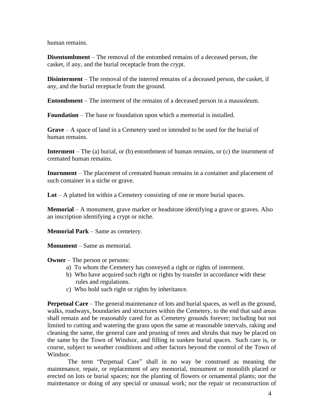human remains.

**Disentombment** – The removal of the entombed remains of a deceased person, the casket, if any, and the burial receptacle from the crypt.

**Disinterment** – The removal of the interred remains of a deceased person, the casket, if any, and the burial receptacle from the ground.

**Entombment** – The interment of the remains of a deceased person in a mausoleum.

**Foundation** – The base or foundation upon which a memorial is installed.

**Grave** – A space of land in a Cemetery used or intended to be used for the burial of human remains.

**Interment** – The (a) burial, or (b) entombment of human remains, or (c) the inurnment of cremated human remains.

**Inurnment** – The placement of cremated human remains in a container and placement of such container in a niche or grave.

**Lot** – A platted lot within a Cemetery consisting of one or more burial spaces.

**Memorial** – A monument, grave marker or headstone identifying a grave or graves. Also an inscription identifying a crypt or niche.

**Memorial Park** – Same as cemetery.

**Monument** – Same as memorial.

**Owner** – The person or persons:

- a) To whom the Cemetery has conveyed a right or rights of interment.
- b) Who have acquired such right or rights by transfer in accordance with these rules and regulations.
- c) Who hold such right or rights by inheritance.

**Perpetual Care** – The general maintenance of lots and burial spaces, as well as the ground, walks, roadways, boundaries and structures within the Cemetery, to the end that said areas shall remain and be reasonably cared for as Cemetery grounds forever; including but not limited to cutting and watering the grass upon the same at reasonable intervals, raking and cleaning the same, the general care and pruning of trees and shrubs that may be placed on the same by the Town of Windsor, and filling in sunken burial spaces. Such care is, or course, subject to weather conditions and other factors beyond the control of the Town of Windsor.

The term "Perpetual Care" shall in no way be construed as meaning the maintenance, repair, or replacement of any memorial, monument or monolith placed or erected on lots or burial spaces; nor the planting of flowers or ornamental plants; nor the maintenance or doing of any special or unusual work; nor the repair or reconstruction of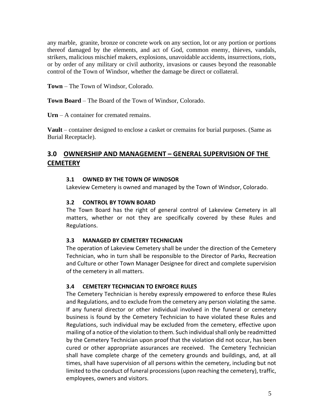any marble, granite, bronze or concrete work on any section, lot or any portion or portions thereof damaged by the elements, and act of God, common enemy, thieves, vandals, strikers, malicious mischief makers, explosions, unavoidable accidents, insurrections, riots, or by order of any military or civil authority, invasions or causes beyond the reasonable control of the Town of Windsor, whether the damage be direct or collateral.

**Town** – The Town of Windsor, Colorado.

**Town Board** – The Board of the Town of Windsor, Colorado.

**Urn** – A container for cremated remains.

**Vault** – container designed to enclose a casket or cremains for burial purposes. (Same as Burial Receptacle).

# **3.0 OWNERSHIP AND MANAGEMENT – GENERAL SUPERVISION OF THE CEMETERY**

# **3.1 OWNED BY THE TOWN OF WINDSOR**

Lakeview Cemetery is owned and managed by the Town of Windsor, Colorado.

#### **3.2 CONTROL BY TOWN BOARD**

The Town Board has the right of general control of Lakeview Cemetery in all matters, whether or not they are specifically covered by these Rules and Regulations.

#### **3.3 MANAGED BY CEMETERY TECHNICIAN**

The operation of Lakeview Cemetery shall be under the direction of the Cemetery Technician, who in turn shall be responsible to the Director of Parks, Recreation and Culture or other Town Manager Designee for direct and complete supervision of the cemetery in all matters.

# **3.4 CEMETERY TECHNICIAN TO ENFORCE RULES**

The Cemetery Technician is hereby expressly empowered to enforce these Rules and Regulations, and to exclude from the cemetery any person violating the same. If any funeral director or other individual involved in the funeral or cemetery business is found by the Cemetery Technician to have violated these Rules and Regulations, such individual may be excluded from the cemetery, effective upon mailing of a notice ofthe violation to them. Such individualshall only be readmitted by the Cemetery Technician upon proof that the violation did not occur, has been cured or other appropriate assurances are received. The Cemetery Technician shall have complete charge of the cemetery grounds and buildings, and, at all times, shall have supervision of all persons within the cemetery, including but not limited to the conduct of funeral processions(upon reaching the cemetery), traffic, employees, owners and visitors.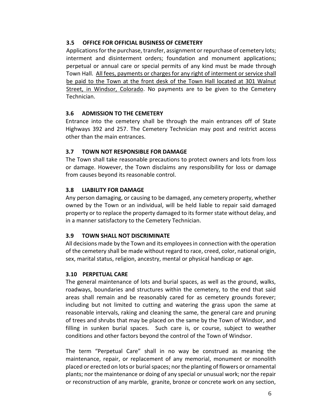# **3.5 OFFICE FOR OFFICIAL BUSINESS OF CEMETERY**

Applications for the purchase, transfer, assignment or repurchase of cemetery lots; interment and disinterment orders; foundation and monument applications; perpetual or annual care or special permits of any kind must be made through Town Hall. All fees, payments or charges for any right of interment or service shall be paid to the Town at the front desk of the Town Hall located at 301 Walnut Street, in Windsor, Colorado. No payments are to be given to the Cemetery Technician.

# **3.6 ADMISSION TO THE CEMETERY**

Entrance into the cemetery shall be through the main entrances off of State Highways 392 and 257. The Cemetery Technician may post and restrict access other than the main entrances.

# **3.7 TOWN NOT RESPONSIBLE FOR DAMAGE**

The Town shall take reasonable precautions to protect owners and lots from loss or damage. However, the Town disclaims any responsibility for loss or damage from causes beyond its reasonable control.

# **3.8 LIABILITY FOR DAMAGE**

Any person damaging, or causing to be damaged, any cemetery property, whether owned by the Town or an individual, will be held liable to repair said damaged property or to replace the property damaged to its formerstate without delay, and in a manner satisfactory to the Cemetery Technician.

# **3.9 TOWN SHALL NOT DISCRIMINATE**

All decisions made by the Town and its employeesin connection with the operation of the cemetery shall be made without regard to race, creed, color, national origin, sex, marital status, religion, ancestry, mental or physical handicap or age.

# **3.10 PERPETUAL CARE**

The general maintenance of lots and burial spaces, as well as the ground, walks, roadways, boundaries and structures within the cemetery, to the end that said areas shall remain and be reasonably cared for as cemetery grounds forever; including but not limited to cutting and watering the grass upon the same at reasonable intervals, raking and cleaning the same, the general care and pruning of trees and shrubs that may be placed on the same by the Town of Windsor, and filling in sunken burial spaces. Such care is, or course, subject to weather conditions and other factors beyond the control of the Town of Windsor.

The term "Perpetual Care" shall in no way be construed as meaning the maintenance, repair, or replacement of any memorial, monument or monolith placed or erected on lots or burial spaces; nor the planting of flowers or ornamental plants; nor the maintenance or doing of any special or unusual work; nor the repair or reconstruction of any marble, granite, bronze or concrete work on any section,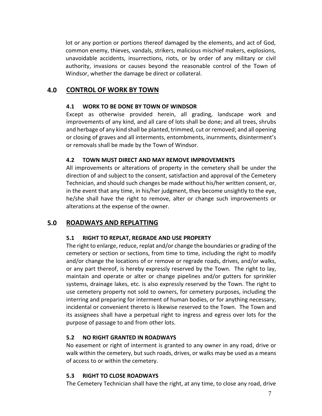lot or any portion or portions thereof damaged by the elements, and act of God, common enemy, thieves, vandals, strikers, malicious mischief makers, explosions, unavoidable accidents, insurrections, riots, or by order of any military or civil authority, invasions or causes beyond the reasonable control of the Town of Windsor, whether the damage be direct or collateral.

# **4.0 CONTROL OF WORK BY TOWN**

#### **4.1 WORK TO BE DONE BY TOWN OF WINDSOR**

Except as otherwise provided herein, all grading, landscape work and improvements of any kind, and all care of lots shall be done; and all trees, shrubs and herbage of any kind shall be planted, trimmed, cut or removed; and all opening or closing of graves and all interments, entombments, inurnments, disinterment's or removals shall be made by the Town of Windsor.

#### **4.2 TOWN MUST DIRECT AND MAY REMOVE IMPROVEMENTS**

All improvements or alterations of property in the cemetery shall be under the direction of and subject to the consent, satisfaction and approval of the Cemetery Technician, and should such changes be made without his/her written consent, or, in the event that any time, in his/her judgment, they become unsightly to the eye, he/she shall have the right to remove, alter or change such improvements or alterations at the expense of the owner.

# **5.0 ROADWAYS AND REPLATTING**

# **5.1 RIGHT TO REPLAT, REGRADE AND USE PROPERTY**

The right to enlarge, reduce, replat and/or change the boundaries or grading of the cemetery or section or sections, from time to time, including the right to modify and/or change the locations of or remove or regrade roads, drives, and/or walks, or any part thereof, is hereby expressly reserved by the Town. The right to lay, maintain and operate or alter or change pipelines and/or gutters for sprinkler systems, drainage lakes, etc. is also expressly reserved by the Town. The right to use cemetery property not sold to owners, for cemetery purposes, including the interring and preparing for interment of human bodies, or for anything necessary, incidental or convenient thereto is likewise reserved to the Town. The Town and its assignees shall have a perpetual right to ingress and egress over lots for the purpose of passage to and from other lots.

# **5.2 NO RIGHT GRANTED IN ROADWAYS**

No easement or right of interment is granted to any owner in any road, drive or walk within the cemetery, but such roads, drives, or walks may be used as a means of access to or within the cemetery.

# **5.3 RIGHT TO CLOSE ROADWAYS**

The Cemetery Technician shall have the right, at any time, to close any road, drive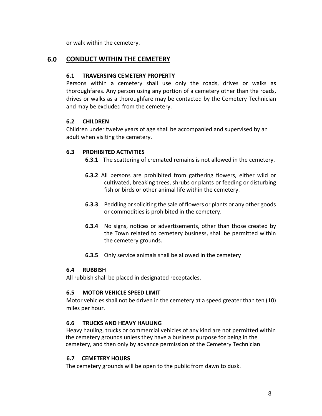or walk within the cemetery.

# **6.0 CONDUCT WITHIN THE CEMETERY**

#### **6.1 TRAVERSING CEMETERY PROPERTY**

Persons within a cemetery shall use only the roads, drives or walks as thoroughfares. Any person using any portion of a cemetery other than the roads, drives or walks as a thoroughfare may be contacted by the Cemetery Technician and may be excluded from the cemetery.

#### **6.2 CHILDREN**

Children under twelve years of age shall be accompanied and supervised by an adult when visiting the cemetery.

#### **6.3 PROHIBITED ACTIVITIES**

- **6.3.1** The scattering of cremated remains is not allowed in the cemetery.
- **6.3.2** All persons are prohibited from gathering flowers, either wild or cultivated, breaking trees, shrubs or plants or feeding or disturbing fish or birds or other animal life within the cemetery.
- **6.3.3** Peddling or soliciting the sale of flowers or plants or any other goods or commodities is prohibited in the cemetery.
- **6.3.4** No signs, notices or advertisements, other than those created by the Town related to cemetery business, shall be permitted within the cemetery grounds.
- **6.3.5** Only service animals shall be allowed in the cemetery

#### **6.4 RUBBISH**

All rubbish shall be placed in designated receptacles.

#### **6.5 MOTOR VEHICLE SPEED LIMIT**

Motor vehicles shall not be driven in the cemetery at a speed greater than ten (10) miles per hour.

# **6.6 TRUCKS AND HEAVY HAULING**

Heavy hauling, trucks or commercial vehicles of any kind are not permitted within the cemetery grounds unless they have a business purpose for being in the cemetery, and then only by advance permission of the Cemetery Technician

#### **6.7 CEMETERY HOURS**

The cemetery grounds will be open to the public from dawn to dusk.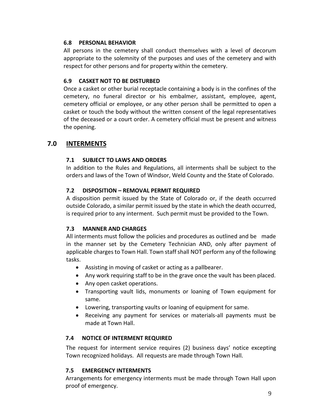# **6.8 PERSONAL BEHAVIOR**

All persons in the cemetery shall conduct themselves with a level of decorum appropriate to the solemnity of the purposes and uses of the cemetery and with respect for other persons and for property within the cemetery.

# **6.9 CASKET NOT TO BE DISTURBED**

Once a casket or other burial receptacle containing a body is in the confines of the cemetery, no funeral director or his embalmer, assistant, employee, agent, cemetery official or employee, or any other person shall be permitted to open a casket or touch the body without the written consent of the legal representatives of the deceased or a court order. A cemetery official must be present and witness the opening.

# **7.0 INTERMENTS**

# **7.1 SUBJECT TO LAWS AND ORDERS**

In addition to the Rules and Regulations, all interments shall be subject to the orders and laws of the Town of Windsor, Weld County and the State of Colorado.

# **7.2 DISPOSITION – REMOVAL PERMIT REQUIRED**

A disposition permit issued by the State of Colorado or, if the death occurred outside Colorado, a similar permit issued by the state in which the death occurred, is required prior to any interment. Such permit must be provided to the Town.

# **7.3 MANNER AND CHARGES**

All interments must follow the policies and procedures as outlined and be made in the manner set by the Cemetery Technician AND, only after payment of applicable charges to Town Hall. Town staff shall NOT perform any of the following tasks.

- Assisting in moving of casket or acting as a pallbearer.
- Any work requiring staff to be in the grave once the vault has been placed.
- Any open casket operations.
- Transporting vault lids, monuments or loaning of Town equipment for same.
- Lowering, transporting vaults or loaning of equipment for same.
- Receiving any payment for services or materials-all payments must be made at Town Hall.

# **7.4 NOTICE OF INTERMENT REQUIRED**

The request for interment service requires (2) business days' notice excepting Town recognized holidays. All requests are made through Town Hall.

# **7.5 EMERGENCY INTERMENTS**

Arrangements for emergency interments must be made through Town Hall upon proof of emergency.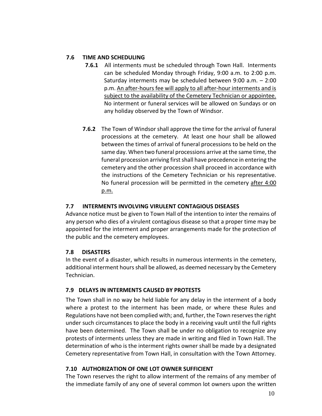# **7.6 TIME AND SCHEDULING**

- **7.6.1** All interments must be scheduled through Town Hall. Interments can be scheduled Monday through Friday, 9:00 a.m. to 2:00 p.m. Saturday interments may be scheduled between 9:00 a.m. – 2:00 p.m. An after-hours fee will apply to all after-hour interments and is subject to the availability of the Cemetery Technician or appointee. No interment or funeral services will be allowed on Sundays or on any holiday observed by the Town of Windsor.
- **7.6.2** The Town of Windsor shall approve the time for the arrival of funeral processions at the cemetery. At least one hour shall be allowed between the times of arrival of funeral processions to be held on the same day. When two funeral processions arrive at the same time, the funeral procession arriving first shall have precedence in entering the cemetery and the other procession shall proceed in accordance with the instructions of the Cemetery Technician or his representative. No funeral procession will be permitted in the cemetery after 4:00 p.m.

# **7.7 INTERMENTS INVOLVING VIRULENT CONTAGIOUS DISEASES**

Advance notice must be given to Town Hall of the intention to inter the remains of any person who dies of a virulent contagious disease so that a proper time may be appointed for the interment and proper arrangements made for the protection of the public and the cemetery employees.

# **7.8 DISASTERS**

In the event of a disaster, which results in numerous interments in the cemetery, additional interment hours shall be allowed, as deemed necessary by the Cemetery Technician.

# **7.9 DELAYS IN INTERMENTS CAUSED BY PROTESTS**

The Town shall in no way be held liable for any delay in the interment of a body where a protest to the interment has been made, or where these Rules and Regulations have not been complied with; and, further, the Town reservesthe right under such circumstances to place the body in a receiving vault until the full rights have been determined. The Town shall be under no obligation to recognize any protests of interments unless they are made in writing and filed in Town Hall. The determination of who is the interment rights owner shall be made by a designated Cemetery representative from Town Hall, in consultation with the Town Attorney.

# **7.10 AUTHORIZATION OF ONE LOT OWNER SUFFICIENT**

The Town reserves the right to allow interment of the remains of any member of the immediate family of any one of several common lot owners upon the written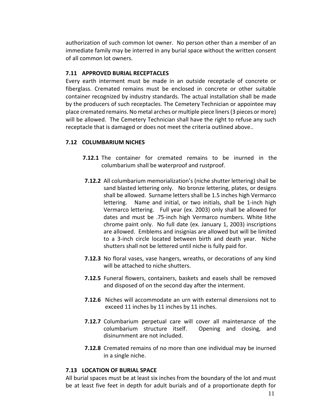authorization of such common lot owner. No person other than a member of an immediate family may be interred in any burial space without the written consent of all common lot owners.

#### **7.11 APPROVED BURIAL RECEPTACLES**

Every earth interment must be made in an outside receptacle of concrete or fiberglass. Cremated remains must be enclosed in concrete or other suitable container recognized by industry standards. The actual installation shall be made by the producers of such receptacles. The Cemetery Technician or appointee may place cremated remains. No metal arches or multiple piece liners(3 pieces or more) will be allowed. The Cemetery Technician shall have the right to refuse any such receptacle that is damaged or does not meet the criteria outlined above..

#### **7.12 COLUMBARIUM NICHES**

- **7.12.1** The container for cremated remains to be inurned in the columbarium shall be waterproof and rustproof.
- **7.12.2** All columbarium memorialization's (niche shutter lettering) shall be sand blasted lettering only. No bronze lettering, plates, or designs shall be allowed. Surname letters shall be 1.5 inches high Vermarco lettering. Name and initial, or two initials, shall be 1-inch high Vermarco lettering. Full year (ex. 2003) only shall be allowed for dates and must be .75-inch high Vermarco numbers. White lithe chrome paint only. No full date (ex. January 1, 2003) inscriptions are allowed. Emblems and insignias are allowed but will be limited to a 3-inch circle located between birth and death year. Niche shutters shall not be lettered until niche is fully paid for.
- **7.12.3** No floral vases, vase hangers, wreaths, or decorations of any kind will be attached to niche shutters.
- **7.12.5** Funeral flowers, containers, baskets and easels shall be removed and disposed of on the second day after the interment.
- **7.12.6** Niches will accommodate an urn with external dimensions not to exceed 11 inches by 11 inches by 11 inches.
- **7.12.7** Columbarium perpetual care will cover all maintenance of the columbarium structure itself. Opening and closing, and disinurnment are not included.
- **7.12.8** Cremated remains of no more than one individual may be inurned in a single niche.

#### **7.13 LOCATION OF BURIAL SPACE**

All burial spaces must be at least six inches from the boundary of the lot and must be at least five feet in depth for adult burials and of a proportionate depth for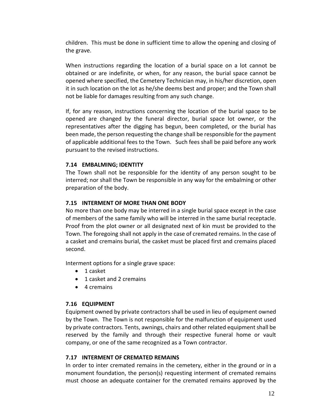children. This must be done in sufficient time to allow the opening and closing of the grave.

When instructions regarding the location of a burial space on a lot cannot be obtained or are indefinite, or when, for any reason, the burial space cannot be opened where specified, the Cemetery Technician may, in his/her discretion, open it in such location on the lot as he/she deems best and proper; and the Town shall not be liable for damages resulting from any such change.

If, for any reason, instructions concerning the location of the burial space to be opened are changed by the funeral director, burial space lot owner, or the representatives after the digging has begun, been completed, or the burial has been made, the person requesting the change shall be responsible for the payment of applicable additional fees to the Town. Such fees shall be paid before any work pursuant to the revised instructions.

#### **7.14 EMBALMING; IDENTITY**

The Town shall not be responsible for the identity of any person sought to be interred; nor shall the Town be responsible in any way for the embalming or other preparation of the body.

#### **7.15 INTERMENT OF MORE THAN ONE BODY**

No more than one body may be interred in a single burial space except in the case of members of the same family who will be interred in the same burial receptacle. Proof from the plot owner or all designated next of kin must be provided to the Town. The foregoing shall not apply in the case of cremated remains. In the case of a casket and cremains burial, the casket must be placed first and cremains placed second.

Interment options for a single grave space:

- 1 casket
- 1 casket and 2 cremains
- 4 cremains

#### **7.16 EQUIPMENT**

Equipment owned by private contractors shall be used in lieu of equipment owned by the Town. The Town is not responsible for the malfunction of equipment used by private contractors. Tents, awnings, chairs and other related equipment shall be reserved by the family and through their respective funeral home or vault company, or one of the same recognized as a Town contractor.

#### **7.17 INTERMENT OF CREMATED REMAINS**

In order to inter cremated remains in the cemetery, either in the ground or in a monument foundation, the person(s) requesting interment of cremated remains must choose an adequate container for the cremated remains approved by the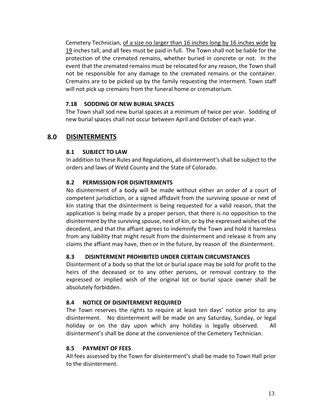Cemetery Technician, of a size no larger than 16 inches long by 16 inches wide by 19 inches tall, and all fees must be paid in full. The Town shall not be liable for the protection of the cremated remains, whether buried in concrete or not. In the event that the cremated remains must be relocated for any reason, the Town shall not be responsible for any damage to the cremated remains or the container. Cremains are to be picked up by the family requesting the interment. Town staff will not pick up cremains from the funeral home or crematorium.

#### **7.18 SODDING OF NEW BURIAL SPACES**

The Town shall sod new burial spaces at a minimum of twice per year. Sodding of new burial spaces shall not occur between April and October of each year.

# **8.0 DISINTERMENTS**

#### **8.1 SUBJECT TO LAW**

In addition to these Rules and Regulations, all disinterment's shall be subject to the orders and laws of Weld County and the State of Colorado.

#### **8.2 PERMISSION FOR DISINTERMENTS**

No disinterment of a body will be made without either an order of a court of competent jurisdiction, or a signed affidavit from the surviving spouse or next of kin stating that the disinterment is being requested for a valid reason, that the application is being made by a proper person, that there is no opposition to the disinterment by the surviving spouse, next of kin, or by the expressed wishes of the decedent, and that the affiant agrees to indemnify the Town and hold it harmless from any liability that might result from the disinterment and release it from any claims the affiant may have, then or in the future, by reason of the disinterment.

#### **8.3 DISINTERMENT PROHIBITED UNDER CERTAIN CIRCUMSTANCES**

Disinterment of a body so that the lot or burial space may be sold for profit to the heirs of the deceased or to any other persons, or removal contrary to the expressed or implied wish of the original lot or burial space owner shall be absolutely forbidden.

#### **8.4 NOTICE OF DISINTERMENT REQUIRED**

The Town reserves the rights to require at least ten days' notice prior to any disinterment. No disinterment will be made on any Saturday, Sunday, or legal holiday or on the day upon which any holiday is legally observed. All disinterment's shall be done at the convenience of the Cemetery Technician.

#### **8.5 PAYMENT OF FEES**

All fees assessed by the Town for disinterment's shall be made to Town Hall prior to the disinterment.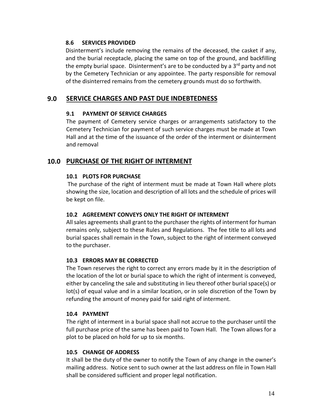#### **8.6 SERVICES PROVIDED**

Disinterment's include removing the remains of the deceased, the casket if any, and the burial receptacle, placing the same on top of the ground, and backfilling the empty burial space. Disinterment's are to be conducted by a  $3<sup>rd</sup>$  party and not by the Cemetery Technician or any appointee. The party responsible for removal of the disinterred remains from the cemetery grounds must do so forthwith.

# **9.0 SERVICE CHARGES AND PAST DUE INDEBTEDNESS**

#### **9.1 PAYMENT OF SERVICE CHARGES**

The payment of Cemetery service charges or arrangements satisfactory to the Cemetery Technician for payment of such service charges must be made at Town Hall and at the time of the issuance of the order of the interment or disinterment and removal

# **10.0 PURCHASE OF THE RIGHT OF INTERMENT**

# **10.1 PLOTS FOR PURCHASE**

The purchase of the right of interment must be made at Town Hall where plots showing the size, location and description of all lots and the schedule of prices will be kept on file.

# **10.2 AGREEMENT CONVEYS ONLY THE RIGHT OF INTERMENT**

All sales agreements shall grant to the purchaser the rights of interment for human remains only, subject to these Rules and Regulations. The fee title to all lots and burial spaces shall remain in the Town, subject to the right of interment conveyed to the purchaser.

# **10.3 ERRORS MAY BE CORRECTED**

The Town reserves the right to correct any errors made by it in the description of the location of the lot or burial space to which the right of interment is conveyed, either by canceling the sale and substituting in lieu thereof other burial space(s) or lot(s) of equal value and in a similar location, or in sole discretion of the Town by refunding the amount of money paid for said right of interment.

#### **10.4 PAYMENT**

The right of interment in a burial space shall not accrue to the purchaser until the full purchase price of the same has been paid to Town Hall. The Town allows for a plot to be placed on hold for up to six months.

#### **10.5 CHANGE OF ADDRESS**

It shall be the duty of the owner to notify the Town of any change in the owner's mailing address. Notice sent to such owner at the last address on file in Town Hall shall be considered sufficient and proper legal notification.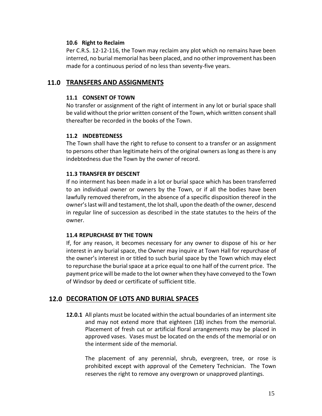#### **10.6 Right to Reclaim**

Per C.R.S. 12-12-116, the Town may reclaim any plot which no remains have been interred, no burial memorial has been placed, and no other improvement has been made for a continuous period of no less than seventy-five years.

# **11.0 TRANSFERS AND ASSIGNMENTS**

#### **11.1 CONSENT OF TOWN**

No transfer or assignment of the right of interment in any lot or burial space shall be valid without the prior written consent of the Town, which written consent shall thereafter be recorded in the books of the Town.

#### **11.2 INDEBTEDNESS**

The Town shall have the right to refuse to consent to a transfer or an assignment to persons other than legitimate heirs of the original owners as long as there is any indebtedness due the Town by the owner of record.

#### **11.3 TRANSFER BY DESCENT**

If no interment has been made in a lot or burial space which has been transferred to an individual owner or owners by the Town, or if all the bodies have been lawfully removed therefrom, in the absence of a specific disposition thereof in the owner's last will and testament, the lot shall, upon the death of the owner, descend in regular line of succession as described in the state statutes to the heirs of the owner.

#### **11.4 REPURCHASE BY THE TOWN**

If, for any reason, it becomes necessary for any owner to dispose of his or her interest in any burial space, the Owner may inquire at Town Hall for repurchase of the owner's interest in or titled to such burial space by the Town which may elect to repurchase the burialspace at a price equal to one half of the current price. The payment price will be made to the lot owner when they have conveyed to the Town of Windsor by deed or certificate of sufficient title.

# **12.0 DECORATION OF LOTS AND BURIAL SPACES**

**12.0.1** All plants must be located within the actual boundaries of an interment site and may not extend more that eighteen (18) inches from the memorial. Placement of fresh cut or artificial floral arrangements may be placed in approved vases. Vases must be located on the ends of the memorial or on the interment side of the memorial.

The placement of any perennial, shrub, evergreen, tree, or rose is prohibited except with approval of the Cemetery Technician. The Town reserves the right to remove any overgrown or unapproved plantings.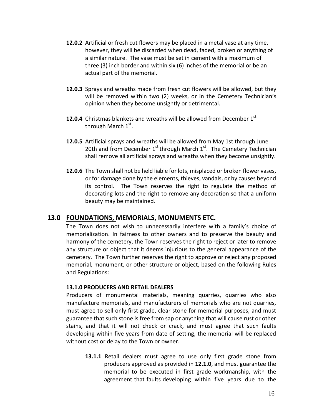- **12.0.2** Artificial or fresh cut flowers may be placed in a metal vase at any time, however, they will be discarded when dead, faded, broken or anything of a similar nature. The vase must be set in cement with a maximum of three (3) inch border and within six (6) inches of the memorial or be an actual part of the memorial.
- **12.0.3** Sprays and wreaths made from fresh cut flowers will be allowed, but they will be removed within two (2) weeks, or in the Cemetery Technician's opinion when they become unsightly or detrimental.
- **12.0.4** Christmas blankets and wreaths will be allowed from December  $1<sup>st</sup>$ through March  $1^{\text{st}}$ .
- **12.0.5** Artificial sprays and wreaths will be allowed from May 1st through June 20th and from December  $1^{st}$  through March  $1^{st}$ . The Cemetery Technician shall remove all artificial sprays and wreaths when they become unsightly.
- **12.0.6** The Town shall not be held liable for lots, misplaced or broken flower vases, or for damage done by the elements, thieves, vandals, or by causes beyond its control. The Town reserves the right to regulate the method of decorating lots and the right to remove any decoration so that a uniform beauty may be maintained.

# **13.0 FOUNDATIONS, MEMORIALS, MONUMENTS ETC.**

The Town does not wish to unnecessarily interfere with a family's choice of memorialization. In fairness to other owners and to preserve the beauty and harmony of the cemetery, the Town reserves the right to reject or later to remove any structure or object that it deems injurious to the general appearance of the cemetery. The Town further reserves the right to approve or reject any proposed memorial, monument, or other structure or object, based on the following Rules and Regulations:

#### **13.1.0 PRODUCERS AND RETAIL DEALERS**

Producers of monumental materials, meaning quarries, quarries who also manufacture memorials, and manufacturers of memorials who are not quarries, must agree to sell only first grade, clear stone for memorial purposes, and must guarantee that such stone is free from sap or anything that will cause rust or other stains, and that it will not check or crack, and must agree that such faults developing within five years from date of setting, the memorial will be replaced without cost or delay to the Town or owner.

**13.1.1** Retail dealers must agree to use only first grade stone from producers approved as provided in **12.1.0**, and must guarantee the memorial to be executed in first grade workmanship, with the agreement that faults developing within five years due to the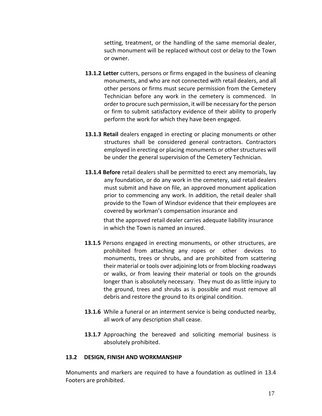setting, treatment, or the handling of the same memorial dealer, such monument will be replaced without cost or delay to the Town or owner.

- **13.1.2 Letter** cutters, persons or firms engaged in the business of cleaning monuments, and who are not connected with retail dealers, and all other persons or firms must secure permission from the Cemetery Technician before any work in the cemetery is commenced. In order to procure such permission, it will be necessary for the person or firm to submit satisfactory evidence of their ability to properly perform the work for which they have been engaged.
- **13.1.3 Retail** dealers engaged in erecting or placing monuments or other structures shall be considered general contractors. Contractors employed in erecting or placing monuments or other structures will be under the general supervision of the Cemetery Technician.
- **13.1.4 Before** retail dealers shall be permitted to erect any memorials, lay any foundation, or do any work in the cemetery, said retail dealers must submit and have on file, an approved monument application prior to commencing any work. In addition, the retail dealer shall provide to the Town of Windsor evidence that their employees are covered by workman's compensation insurance and

that the approved retail dealer carries adequate liability insurance in which the Town is named an insured.

- **13.1.5** Persons engaged in erecting monuments, or other structures, are prohibited from attaching any ropes or other devices to monuments, trees or shrubs, and are prohibited from scattering their material or tools over adjoining lots or from blocking roadways or walks, or from leaving their material or tools on the grounds longer than is absolutely necessary. They must do as little injury to the ground, trees and shrubs as is possible and must remove all debris and restore the ground to its original condition.
- **13.1.6** While a funeral or an interment service is being conducted nearby, all work of any description shall cease.
- 13.1.7 Approaching the bereaved and soliciting memorial business is absolutely prohibited.

#### **13.2 DESIGN, FINISH AND WORKMANSHIP**

Monuments and markers are required to have a foundation as outlined in 13.4 Footers are prohibited.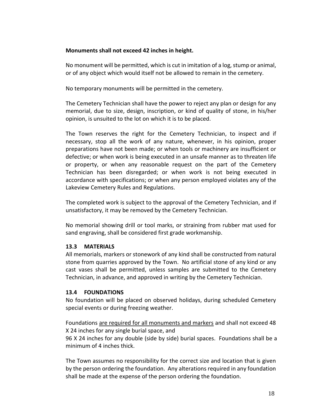#### **Monuments shall not exceed 42 inches in height.**

No monument will be permitted, which is cut in imitation of a log, stump or animal, or of any object which would itself not be allowed to remain in the cemetery.

No temporary monuments will be permitted in the cemetery.

The Cemetery Technician shall have the power to reject any plan or design for any memorial, due to size, design, inscription, or kind of quality of stone, in his/her opinion, is unsuited to the lot on which it is to be placed.

The Town reserves the right for the Cemetery Technician, to inspect and if necessary, stop all the work of any nature, whenever, in his opinion, proper preparations have not been made; or when tools or machinery are insufficient or defective; or when work is being executed in an unsafe manner as to threaten life or property, or when any reasonable request on the part of the Cemetery Technician has been disregarded; or when work is not being executed in accordance with specifications; or when any person employed violates any of the Lakeview Cemetery Rules and Regulations.

The completed work is subject to the approval of the Cemetery Technician, and if unsatisfactory, it may be removed by the Cemetery Technician.

No memorial showing drill or tool marks, or straining from rubber mat used for sand engraving, shall be considered first grade workmanship.

# **13.3 MATERIALS**

All memorials, markers or stonework of any kind shall be constructed from natural stone from quarries approved by the Town. No artificial stone of any kind or any cast vases shall be permitted, unless samples are submitted to the Cemetery Technician, in advance, and approved in writing by the Cemetery Technician.

# **13.4 FOUNDATIONS**

No foundation will be placed on observed holidays, during scheduled Cemetery special events or during freezing weather.

Foundations are required for all monuments and markers and shall not exceed 48 X 24 inches for any single burial space, and

96 X 24 inches for any double (side by side) burial spaces. Foundations shall be a minimum of 4 inches thick.

The Town assumes no responsibility for the correct size and location that is given by the person ordering the foundation. Any alterations required in any foundation shall be made at the expense of the person ordering the foundation.